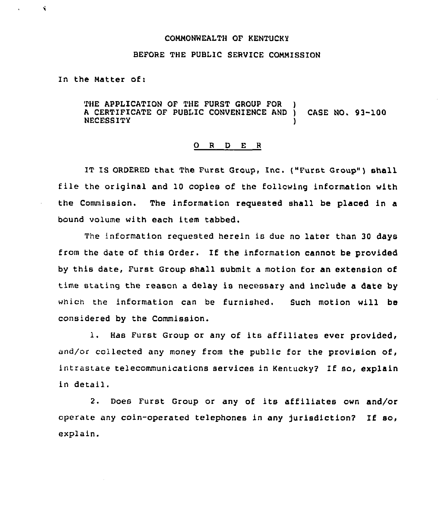#### COMNONWEALTH OF KENTUCKY

# BEFORE THE PUBLIC SERVICE CONNISSION

In the Natter of:

Ń

THE APPLICATION OF THE FURST GROUP FOR <sup>A</sup> CERTIFICATE OF PUBLIC CONVENIENCE AND ) CASE NO. 93-laa NECESSITY )

#### 0 <sup>R</sup> <sup>D</sup> E <sup>R</sup>

IT IS ORDERED that The Furst Group, Inc. ("Furst Group") shall file the original and IO copies of the following information with the Commission. The information requested shall be placed in a bound volume with each item tabbed.

The information requested herein is due no later than 30 days from the date of this Order. If the information cannot be provided by this date, Furst Group shall submit a motion for an extension of time stating the reason a delay is necessary and include a date by which the information can be furnished. Such motion will be considered by the Commission.

1. Has Furst Group or any of its affiliates ever provided, and/or collected any money from the public for the provision of, intrastate telecommunications services in Kentucky2 If so, explain in detail.

2. Does Furst Group or any of its affiliates own and/or operate any coin-operated telephones in any )urisdiction? If so, explain.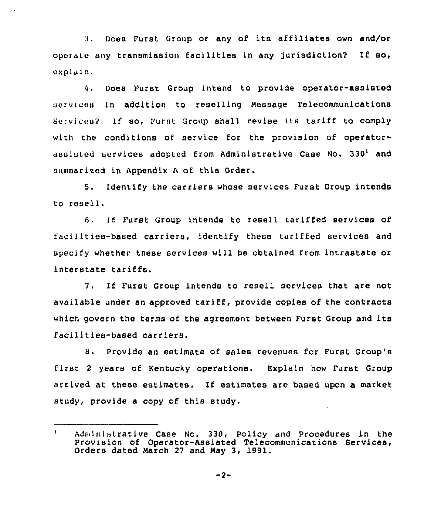3. Does Furst Group or any of its affiliates own and/or operate any transmission facilities in any jurisdiction? If so, explain.

Does Purst Group intend to provide operator-assisted  $\Delta$  . uervices in addition to reselling Message Telecommunications Serviceu? If so, Furst Group shall revise its tariff to comply with the conditions of service for the provision of operatorassisted services adopted from Administrative Case No. 330<sup>1</sup> and summarized in Appendix <sup>A</sup> of this Order.

<sup>5</sup> <sup>~</sup> Identify the carriers whose services Furst Group intends to resell.

6. It Furst Group intends to resell tariffed services of facilities-based carriers, identify these tariffed services and specify whether these services will be obtained from intrastate or interstate tariffs.

7. If Purst Group intends to resell services that are not available under an approved tariff, provide copies of the contracts which govern the terms of the agreement between Furst Group and its facilities-based carriers.

8. Provide an estimate of sales revenues for Furst Group's first <sup>2</sup> years of Kentucky operations. Explain how Furst Group arrived at these estimates. If estimates are based upon a market study, provide a copy of this study.

 $\mathbf{I}$ Administrative Case No. 330, Policy and Procedures in the Provision of Operator-Assisted Telecommunications Services, Orders dated Narch <sup>27</sup> and Nay 3, 1991.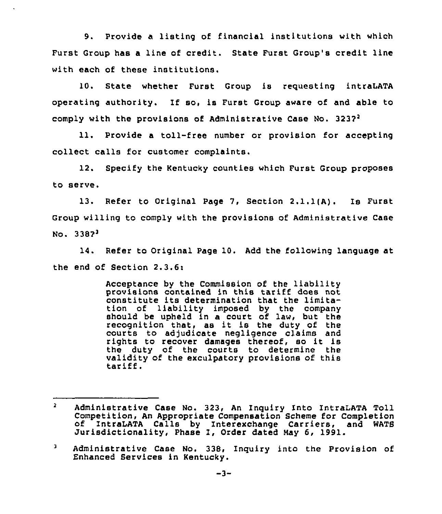9. Provide a listing of financial institutions with which Furst Group has a line of credit. State Furst Group's credit line with each of these institutions.

10. State whether Furst Group is requesting intraLATA operating authority. If so, is Furst Group aware of and able to comply with the provisions of Administrative Case No. 323?<sup>2</sup>

11. Provide a toll-free number or provision for accepting collect calls for customer complaints.

12. Specify the Kentucky counties which Furst Group proposes to serve.

13. Refer to Original Page 7, Section 2.1.1(A). Is Furst Group willing to comply with the provisions of Administrative Case  $No. 3382<sup>3</sup>$ 

14. Refer to Original Page 10. Add the following language at the end of Section 2.3.6:

> Acceptance by the Commission of the liability provisions contained in this tariff does not constitute its determination that the limitation of liability imposed by the company should be upheld in a court of law, but the should be upherd in a court of law, but the courts to adjudicate negligence claims and rights to recover damages thereof, so it is the duty of the courts to determine the validity of the exculpatory provisions of this tariff.

 $\mathbf{z}$ Administrative Case No. 323, An Inquiry Into IntraIATA Toll of IntraLATA Calls by Interexchange Carriers, and WATS<br>Jurisdictionality, Phase I, Order dated May 6, 1991.

 $\mathbf{3}$ Administrative Case No. 338, Inquiry into the Provision of Enhanced Services in Kentucky.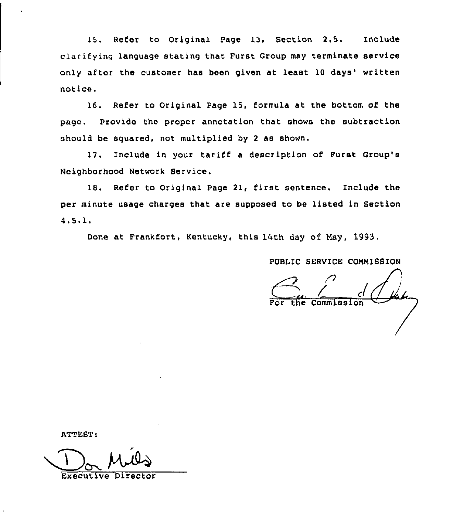15. Refer to Original Page 13, Section 2.5. Include clarifying language stating that Furst Group may terminate service only after the customer has been given at least 10 days' written notice.

16. Refer to Original Page 15, formula at the bottom of the page. Provide the proper annotation that shows the subtraction should be squared, not multiplied by <sup>2</sup> as shown.

17. Include in your tariff <sup>a</sup> description of Furst Group's Neighborhood Network Service.

18. Refer to Original Page 21, first sentence. Include the per minute usage charges that are supposed to be listed in Section 4.5'

Done at Frankfort, Kentucky, this 14th day of May, 1993.

PUBLIC SERVICE COMMISSION

Commissi

ATTEST:

~l Executive Director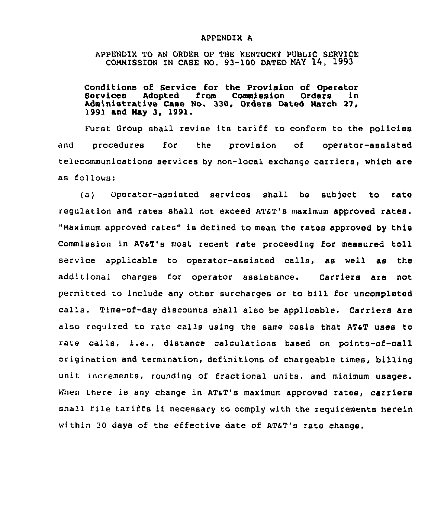### APPENDIX A

## APPENDIX TO AN ORDER OF THE KENTUCKY PUBLIC SERVICE COMMISSION IN CASE NO. 93-100 DATED MAY 14, 1993

Conditions of Service for the Provision of Operator Services Adopted from Commission Orders in Administrative Case No. 330, Orders Dated Narch 27, 1991 and Nay 3, 1991.

Furst Group shall revise its tariff to conform to the policies and procedures for the provision of operator-assisted telecommunications services by non-local exchange carriers, which are as follows:

(a) Operator-assisted services shall be subject to rate regulation and rates shall not exceed AT6T's maximum approved rates. "maximum approved rates" is defined to mean the rates approved by this Commission in AT&T's most recent rate proceeding for measured toll service applicable to operator-assisted calls, as well as the additional charges for operator assistance. Carriers are not permitted to include any other surcharges or to bill for uncompleted calls. Time-of-day discounts shall also be applicable. Carriers are also required to rate calls using the same basis that AT&T uses to rate calls, i.e., distance calculations based on points-of-call origination and termination, definitions of chargeable times, billing unit increments, rounding of fractional units, and minimum usages. When there is any change in AT&T's maximum approved rates, carriers shall file tariffs if necessary to comply with the requirements herein within 30 days of the effective date of AT&T's rate change.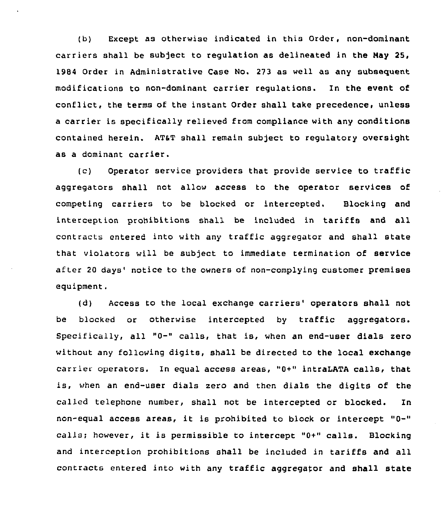(b) Except as otherwise indicated in this Order, non-dominant carriers shall be subject to regulation as delineated in the Nay 25, 1984 Order in Administrative Case No. 273 as well as any subsequent modifications to non-dominant carrier regulations. In the event of conflict, the terms of the instant Order shall take precedence, unless a carrier is specifically relieved from compliance with any conditions contained herein. AT6T shall remain subject to regulatory oversight as a dominant carrier.

(c) Operator service providers that provide service to traffic aggregators shall not allow access to the operator services of competing carriers to be blocked or intercepted. Blocking and interception prohibitions shall be included in tariffs and all contracts entered into with any traffic aggregator and shall state that violators will be subject to immediate termination of service after 20 days' notice to the owners of non-complying customer premises equipment.

(d) Access to the local exchange carriers' operators shall not be blocked or otherwise intercepted by traffic aggregators. Specifically, all "0-" calls, that is, when an end-user dials zero without any following digits, shall be directed to the local exchange carrier operators. In equal access areas, "0+" intraLATA calls, that is, when an end-user dials zero and then dials the digits of the called telephone number, shall not be intercepted or blocked. In non-equal access areas, it is prohibited to block or intercept "0-" calls; however, it is permissible to intercept "0+" calls. Blocking and interception prohibitions shall be included in tariffs and all contracts entered into with any traffic aggregator and shall state